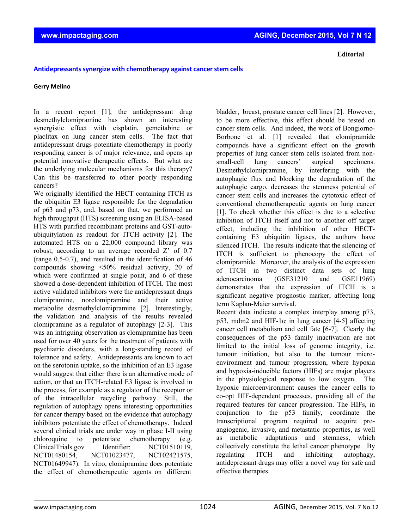**Editorial**

## **Antidepressantssynergize with chemotherapy against cancerstem cells**

## **Gerry Melino**

In a recent report [1], the antidepressant drug desmethylclomipramine has shown an interesting synergistic effect with cisplatin, gemcitabine or placlitax on lung cancer stem cells. The fact that antidepressant drugs potentiate chemotherapy in poorly responding cancer is of major relevance, and opens up potential innovative therapeutic effects. But what are the underlying molecular mechanisms for this therapy? Can this be transferred to other poorly responding cancers?

We originally identified the HECT containing ITCH as the ubiquitin E3 ligase responsible for the degradation of p63 and p73, and, based on that, we performed an high throughput (HTS) screening using an ELISA-based HTS with purified recombinant proteins and GST-autoubiquitylation as readout for ITCH activity [2]. The automated HTS on a 22,000 compound library was robust, according to an average recorded Z' of 0.7 (range 0.5-0.7), and resulted in the identification of 46 compounds showing <50% residual activity, 20 of which were confirmed at single point, and 6 of these showed a dose-dependent inhibition of ITCH. The most active validated inhibitors were the antidepressant drugs clomipramine, norclomipramine and their active metabolite desmethylclomipramine [2]. Interestingly, the validation and analysis of the results revealed clomipramine as a regulator of autophagy [2-3]. This was an intriguing observation as clomipramine has been used for over 40 years for the treatment of patients with psychiatric disorders, with a long-standing record of tolerance and safety. Antidepressants are known to act on the serotonin uptake, so the inhibition of an E3 ligase would suggest that either there is an alternative mode of action, or that an ITCH-related E3 ligase is involved in the process, for example as a regulator of the receptor or of the intracellular recycling pathway. Still, the regulation of autophagy opens interesting opportunities for cancer therapy based on the evidence that autophagy inhibitors potentiate the effect of chemotherapy. Indeed several clinical trials are under way in phase I-II using chloroquine to potentiate chemotherapy (e.g. ClinicalTrials.gov Identifier: NCT01510119, NCT01480154, NCT01023477, NCT02421575, NCT01649947). In vitro, clomipramine does potentiate the effect of chemotherapeutic agents on different

bladder, breast, prostate cancer cell lines [2]. However, to be more effective, this effect should be tested on cancer stem cells. And indeed, the work of Bongiorno-Borbone et al. [1] revealed that clomipramide compounds have a significant effect on the growth properties of lung cancer stem cells isolated from nonsmall-cell lung cancers' surgical specimens. Desmethylclomipramine, by interfering with the autophagic flux and blocking the degradation of the autophagic cargo, decreases the stemness potential of cancer stem cells and increases the cytotoxic effect of conventional chemotherapeutic agents on lung cancer [1]. To check whether this effect is due to a selective inhibition of ITCH itself and not to another off target effect, including the inhibition of other HECTcontaining E3 ubiquitin ligases, the authors have silenced ITCH. The results indicate that the silencing of ITCH is sufficient to phenocopy the effect of clomipramide. Moreover, the analysis of the expression of ITCH in two distinct data sets of lung adenocarcinoma (GSE31210 and GSE11969) demonstrates that the expression of ITCH is a significant negative prognostic marker, affecting long term Kaplan-Maier survival.

Recent data indicate a complex interplay among p73, p53, mdm2 and HIF-1 $\alpha$  in lung cancer [4-5] affecting cancer cell metabolism and cell fate [6-7]. Clearly the consequences of the p53 family inactivation are not limited to the initial loss of genome integrity, i.e. tumour initiation, but also to the tumour microenvironment and tumour progression, where hypoxia and hypoxia-inducible factors (HIFs) are major players in the physiological response to low oxygen. The hypoxic microenvironment causes the cancer cells to co-opt HIF-dependent processes, providing all of the required features for cancer progression. The HIFs, in conjunction to the p53 family, coordinate the transcriptional program required to acquire proangiogenic, invasive, and metastatic properties, as well as metabolic adaptations and stemness, which collectively constitute the lethal cancer phenotype. By regulating ITCH and inhibiting autophagy, antidepressant drugs may offer a novel way for safe and effective therapies.